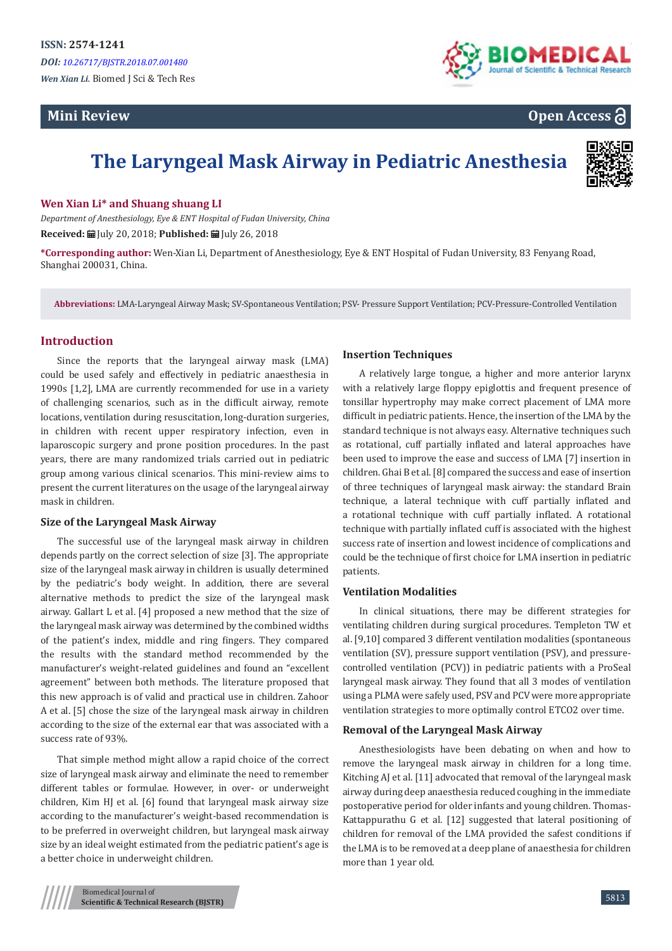# **Mini Review**





# **The Laryngeal Mask Airway in Pediatric Anesthesia**



## **Wen Xian Li\* and Shuang shuang LI**

*Department of Anesthesiology, Eye & ENT Hospital of Fudan University, China* **Received:** | July 20, 2018; **Published:** | July 26, 2018

**\*Corresponding author:** Wen-Xian Li, Department of Anesthesiology, Eye & ENT Hospital of Fudan University, 83 Fenyang Road, Shanghai 200031, China.

**Abbreviations:** LMA-Laryngeal Airway Mask; SV-Spontaneous Ventilation; PSV- Pressure Support Ventilation; PCV-Pressure-Controlled Ventilation

# **Introduction**

Since the reports that the laryngeal airway mask (LMA) could be used safely and effectively in pediatric anaesthesia in 1990s [1,2], LMA are currently recommended for use in a variety of challenging scenarios, such as in the difficult airway, remote locations, ventilation during resuscitation, long-duration surgeries, in children with recent upper respiratory infection, even in laparoscopic surgery and prone position procedures. In the past years, there are many randomized trials carried out in pediatric group among various clinical scenarios. This mini-review aims to present the current literatures on the usage of the laryngeal airway mask in children.

# **Size of the Laryngeal Mask Airway**

The successful use of the laryngeal mask airway in children depends partly on the correct selection of size [3]. The appropriate size of the laryngeal mask airway in children is usually determined by the pediatric's body weight. In addition, there are several alternative methods to predict the size of the laryngeal mask airway. Gallart L et al. [4] proposed a new method that the size of the laryngeal mask airway was determined by the combined widths of the patient's index, middle and ring fingers. They compared the results with the standard method recommended by the manufacturer's weight-related guidelines and found an "excellent agreement" between both methods. The literature proposed that this new approach is of valid and practical use in children. Zahoor A et al. [5] chose the size of the laryngeal mask airway in children according to the size of the external ear that was associated with a success rate of 93%.

That simple method might allow a rapid choice of the correct size of laryngeal mask airway and eliminate the need to remember different tables or formulae. However, in over- or underweight children, Kim HJ et al. [6] found that laryngeal mask airway size according to the manufacturer's weight-based recommendation is to be preferred in overweight children, but laryngeal mask airway size by an ideal weight estimated from the pediatric patient's age is a better choice in underweight children.

# **Insertion Techniques**

A relatively large tongue, a higher and more anterior larynx with a relatively large floppy epiglottis and frequent presence of tonsillar hypertrophy may make correct placement of LMA more difficult in pediatric patients. Hence, the insertion of the LMA by the standard technique is not always easy. Alternative techniques such as rotational, cuff partially inflated and lateral approaches have been used to improve the ease and success of LMA [7] insertion in children. Ghai B et al. [8] compared the success and ease of insertion of three techniques of laryngeal mask airway: the standard Brain technique, a lateral technique with cuff partially inflated and a rotational technique with cuff partially inflated. A rotational technique with partially inflated cuff is associated with the highest success rate of insertion and lowest incidence of complications and could be the technique of first choice for LMA insertion in pediatric patients.

#### **Ventilation Modalities**

In clinical situations, there may be different strategies for ventilating children during surgical procedures. Templeton TW et al. [9,10] compared 3 different ventilation modalities (spontaneous ventilation (SV), pressure support ventilation (PSV), and pressurecontrolled ventilation (PCV)) in pediatric patients with a ProSeal laryngeal mask airway. They found that all 3 modes of ventilation using a PLMA were safely used, PSV and PCV were more appropriate ventilation strategies to more optimally control ETCO2 over time.

### **Removal of the Laryngeal Mask Airway**

Anesthesiologists have been debating on when and how to remove the laryngeal mask airway in children for a long time. Kitching AJ et al. [11] advocated that removal of the laryngeal mask airway during deep anaesthesia reduced coughing in the immediate postoperative period for older infants and young children. Thomas-Kattappurathu G et al. [12] suggested that lateral positioning of children for removal of the LMA provided the safest conditions if the LMA is to be removed at a deep plane of anaesthesia for children more than 1 year old.